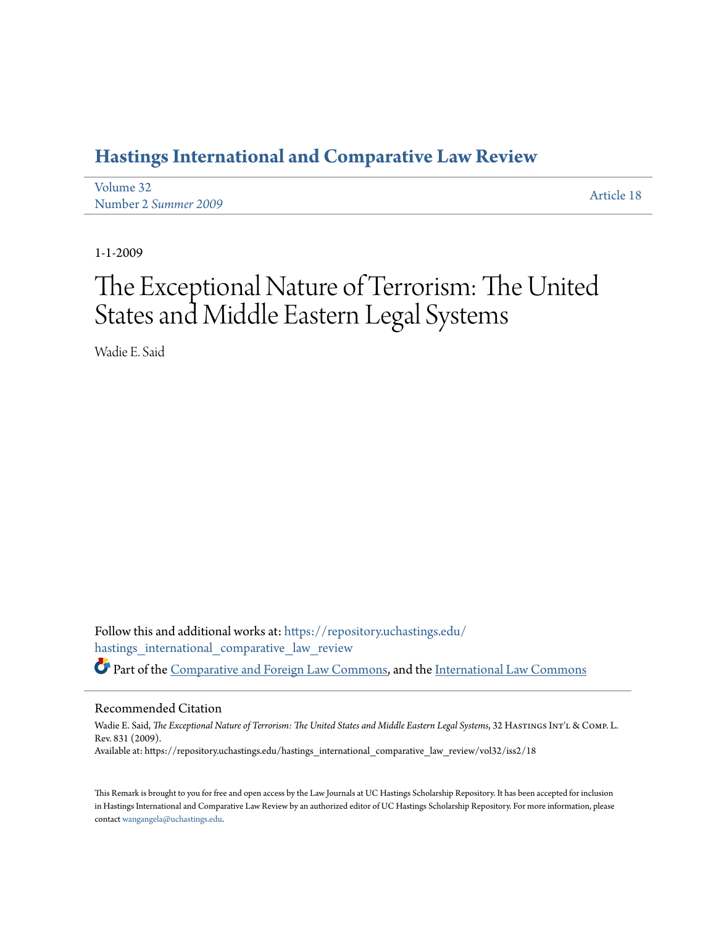# **[Hastings International and Comparative Law Review](https://repository.uchastings.edu/hastings_international_comparative_law_review?utm_source=repository.uchastings.edu%2Fhastings_international_comparative_law_review%2Fvol32%2Fiss2%2F18&utm_medium=PDF&utm_campaign=PDFCoverPages)**

| Volume 32            | Article 18 |
|----------------------|------------|
| Number 2 Summer 2009 |            |

1-1-2009

# The Exceptional Nature of Terrorism: The United States and Middle Eastern Legal Systems

Wadie E. Said

Follow this and additional works at: [https://repository.uchastings.edu/](https://repository.uchastings.edu/hastings_international_comparative_law_review?utm_source=repository.uchastings.edu%2Fhastings_international_comparative_law_review%2Fvol32%2Fiss2%2F18&utm_medium=PDF&utm_campaign=PDFCoverPages) [hastings\\_international\\_comparative\\_law\\_review](https://repository.uchastings.edu/hastings_international_comparative_law_review?utm_source=repository.uchastings.edu%2Fhastings_international_comparative_law_review%2Fvol32%2Fiss2%2F18&utm_medium=PDF&utm_campaign=PDFCoverPages) Part of the [Comparative and Foreign Law Commons](http://network.bepress.com/hgg/discipline/836?utm_source=repository.uchastings.edu%2Fhastings_international_comparative_law_review%2Fvol32%2Fiss2%2F18&utm_medium=PDF&utm_campaign=PDFCoverPages), and the [International Law Commons](http://network.bepress.com/hgg/discipline/609?utm_source=repository.uchastings.edu%2Fhastings_international_comparative_law_review%2Fvol32%2Fiss2%2F18&utm_medium=PDF&utm_campaign=PDFCoverPages)

#### Recommended Citation

Wadie E. Said, *The Exceptional Nature of Terrorism: The United States and Middle Eastern Legal Systems*, 32 HASTINGS INT'L & COMP. L. Rev. 831 (2009). Available at: https://repository.uchastings.edu/hastings\_international\_comparative\_law\_review/vol32/iss2/18

This Remark is brought to you for free and open access by the Law Journals at UC Hastings Scholarship Repository. It has been accepted for inclusion in Hastings International and Comparative Law Review by an authorized editor of UC Hastings Scholarship Repository. For more information, please contact [wangangela@uchastings.edu](mailto:wangangela@uchastings.edu).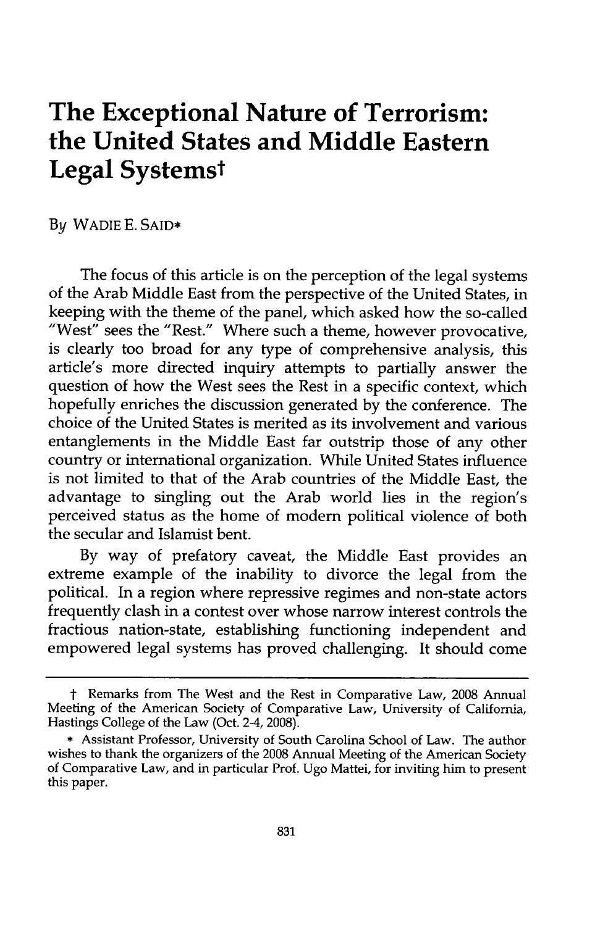# **The Exceptional Nature of Terrorism: the United States and Middle Eastern Legal Systemst**

**By** WADIE **E. SAID\***

The focus of this article is on the perception of the legal systems of the Arab Middle East from the perspective of the United States, in keeping with the theme of the panel, which asked how the so-called "West" sees the "Rest." Where such a theme, however provocative, is clearly too broad for any type of comprehensive analysis, this article's more directed inquiry attempts to partially answer the question of how the West sees the Rest in a specific context, which hopefully enriches the discussion generated **by** the conference. The choice of the United States is merited as its involvement and various entanglements in the Middle East far outstrip those of any other country or international organization. While United States influence is not limited to that of the Arab countries of the Middle East, the advantage to singling out the Arab world lies in the region's perceived status as the home of modem political violence of both the secular and Islamist bent.

By way of prefatory caveat, the Middle East provides an extreme example of the inability to divorce the legal from the political. In a region where repressive regimes and non-state actors frequently clash in a contest over whose narrow interest controls the fractious nation-state, establishing functioning independent and empowered legal systems has proved challenging. It should come

t Remarks from The West and the Rest in Comparative Law, 2008 Annual Meeting of the American Society of Comparative Law, University of California, Hastings College of the Law (Oct. 2-4, 2008).

<sup>\*</sup> Assistant Professor, University of South Carolina School of Law. The author wishes to thank the organizers of the 2008 Annual Meeting of the American Society of Comparative Law, and in particular Prof. Ugo Mattei, for inviting him to present this paper.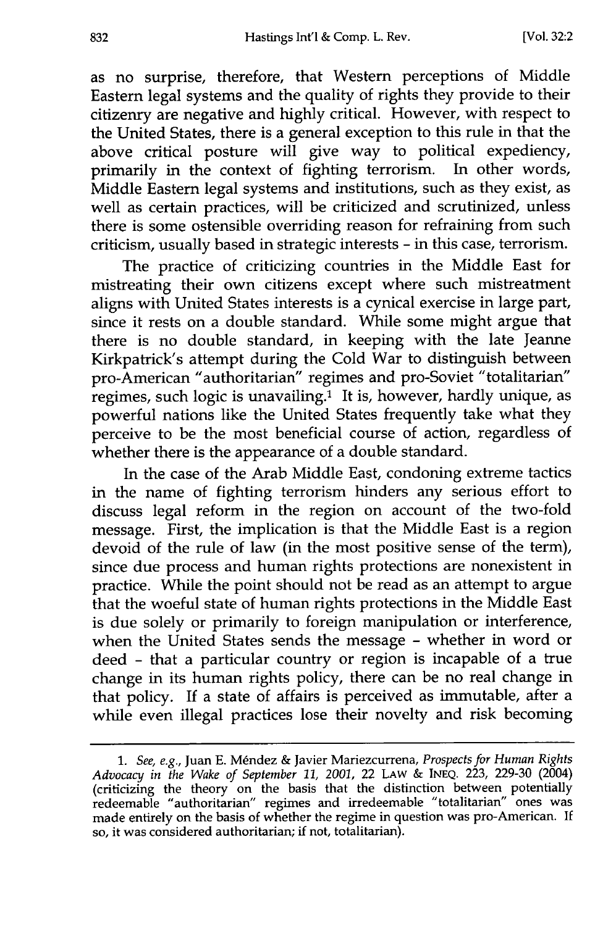as no surprise, therefore, that Western perceptions of Middle Eastern legal systems and the quality of rights they provide to their citizenry are negative and **highly** critical. However, with respect to the United States, there is a general exception to this rule in that the above critical posture will give way to political expediency, primarily in the context of fighting terrorism. In other words, Middle Eastern legal systems and institutions, such as they exist, as well as certain practices, will be criticized and scrutinized, unless there is some ostensible overriding reason for refraining from such criticism, usually based in strategic interests **-** in this case, terrorism.

The practice of criticizing countries in the Middle East for mistreating their own citizens except where such mistreatment aligns with United States interests is a cynical exercise in large part, since it rests on a double standard. While some **might** argue that there is no double standard, in keeping with the late Jeanne Kirkpatrick's attempt during the Cold War to distinguish between pro-American "authoritarian" regimes and pro-Soviet "totalitarian" regimes, such logic is unavailing.1 It is, however, hardly unique, as powerful nations like the United States frequently take what they perceive to be the most beneficial course of action, regardless of whether there is the appearance of a double standard.

In the case of the Arab Middle East, condoning extreme tactics in the name of fighting terrorism hinders any serious effort to discuss legal reform in the region on account of the two-fold message. First, the implication is that the Middle East is a region devoid of the rule of law (in the most positive sense of the term), since due process and human rights protections are nonexistent in practice. While the point should not be read as an attempt to argue that the woeful state of human rights protections in the Middle East is due solely or primarily to foreign manipulation or interference, when the United States sends the message **-** whether in word or deed **-** that a particular country or region is incapable of a true change in its human rights policy, there can be no real change in that policy. If a state of affairs is perceived as immutable, after a while even illegal practices lose their novelty and risk becoming

*<sup>1.</sup> See, e.g.,* Juan E. M~ndez & Javier Mariezcurrena, *Prospects for Human Rights Advocacy in the Wake of September 11, 2001,* 22 LAW & INEQ. 223, 229-30 (2004) (criticizing the theory on the basis that the distinction between potentially redeemable "authoritarian" regimes and irredeemable "totalitarian" ones was made entirely on the basis of whether the regime in question was pro-American. If so, it was considered authoritarian; if not, totalitarian).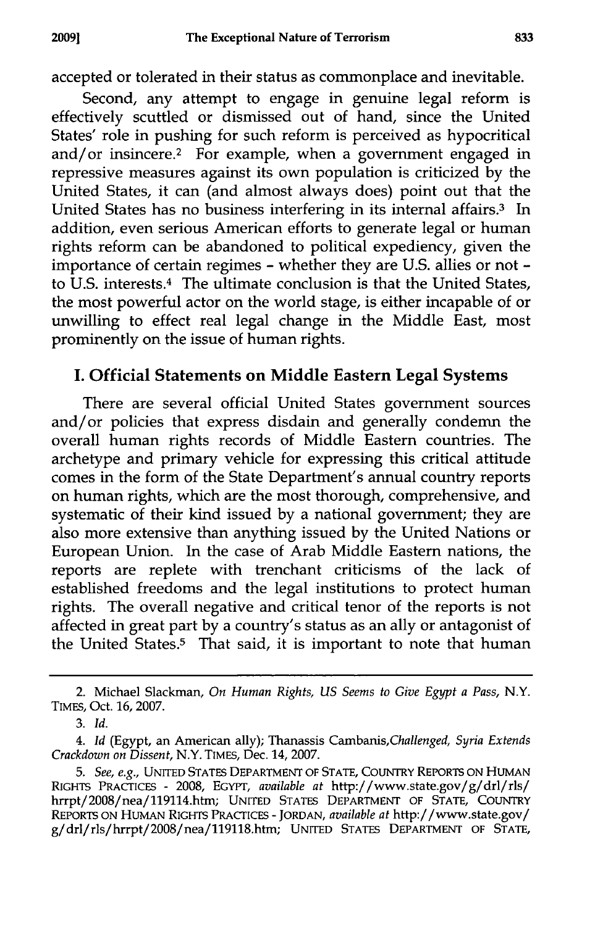accepted or tolerated in their status as commonplace and inevitable.

Second, any attempt to engage in genuine legal reform is effectively scuttled or dismissed out of hand, since the United States' role in pushing for such reform is perceived as hypocritical and/or insincere.2 For example, when a government engaged in repressive measures against its own population is criticized by the United States, it can (and almost always does) point out that the United States has no business interfering in its internal affairs.<sup>3</sup> In addition, even serious American efforts to generate legal or human rights reform can be abandoned to political expediency, given the importance of certain regimes - whether they are U.S. allies or not  to U.S. interests.4 The ultimate conclusion is that the United States, the most powerful actor on the world stage, is either incapable of or unwilling to effect real legal change in the Middle East, most prominently on the issue of human rights.

### **I.** Official Statements on Middle Eastern Legal Systems

There are several official United States government sources and/or policies that express disdain and generally condemn the overall human rights records of Middle Eastern countries. The archetype and primary vehicle for expressing this critical attitude comes in the form of the State Department's annual country reports on human rights, which are the most thorough, comprehensive, and systematic of their kind issued by a national government; they are also more extensive than anything issued by the United Nations or European Union. In the case of Arab Middle Eastern nations, the reports are replete with trenchant criticisms of the lack of established freedoms and the legal institutions to protect human rights. The overall negative and critical tenor of the reports is not affected in great part by a country's status as an ally or antagonist of the United States.5 That said, it is important to note that human

<sup>2.</sup> Michael Slackman, *On Human Rights, US Seems to Give Egypt a Pass,* N.Y. TIMES, Oct. 16, 2007.

**<sup>3.</sup>** *Id.*

*<sup>4.</sup> Id* (Egypt, an American ally); Thanassis *Cambanis,Challenged, Syria Extends Crackdown on Dissent,* N.Y. TIMES, Dec. 14, 2007.

*<sup>5.</sup> See, e.g.,* UNITED STATES DEPARTMENT OF STATE, COUNTRY REPORTS ON HUMAN RIGHTS PRACTIcES - 2008, EGYPT, *available at* http://www.state.gov/g/drl/rls/ hrrpt/2008/nea/119114.htm; UNITED STATES DEPARTMENT OF STATE, COUNTRY REPORTS ON HUMAN RIGHTS PRACrICES **-** JORDAN, *available at* http://www.state.gov/ g/drl/rls/hrrpt/2008/nea/119118.htm; **UNITED** STATES DEPARTMENT OF STATE,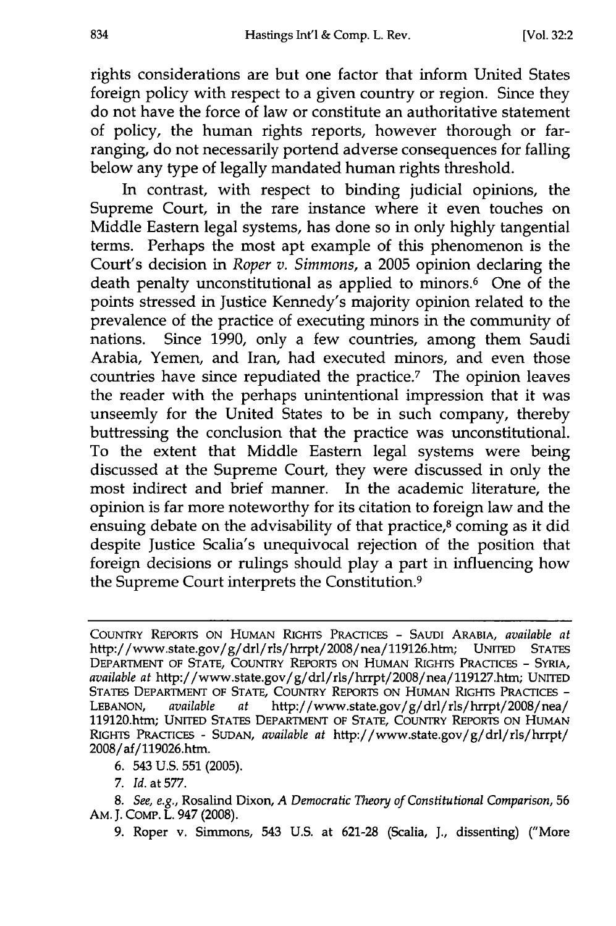rights considerations are but one factor that inform United States foreign policy with respect to a given country or region. Since they do not have the force of law or constitute an authoritative statement of policy, the human rights reports, however thorough or farranging, do not necessarily portend adverse consequences for falling below any type of legally mandated human rights threshold.

In contrast, with respect to binding judicial opinions, the Supreme Court, in the rare instance where it even touches on Middle Eastern legal systems, has done so in only highly tangential terms. Perhaps the most apt example of this phenomenon is the Court's decision in *Roper v. Simmons,* a 2005 opinion declaring the death penalty unconstitutional as applied to minors.<sup>6</sup> One of the points stressed in Justice Kennedy's majority opinion related to the prevalence of the practice of executing minors in the community of nations. Since 1990, only a few countries, among them Saudi Arabia, Yemen, and Iran, had executed minors, and even those countries have since repudiated the practice.<sup> $7$ </sup> The opinion leaves the reader with the perhaps unintentional impression that it was unseemly for the United States to be in such company, thereby buttressing the conclusion that the practice was unconstitutional. To the extent that Middle Eastern legal systems were being discussed at the Supreme Court, they were discussed in only the most indirect and brief manner. In the academic literature, the opinion is far more noteworthy for its citation to foreign law and the ensuing debate on the advisability of that practice, $\delta$  coming as it did despite Justice Scalia's unequivocal rejection of the position that foreign decisions or rulings should play a part in influencing how the Supreme Court interprets the Constitution. <sup>9</sup>

**6.** 543 **U.S. 551 (2005).**

**7.** *Id.* at **577.**

*8. See, e.g.,* **Rosalind** Dixon, *A Democratic Theory of Constitutional Comparison,* **56** AM. **J.** Comp. L. 947 **(2008).**

**9.** Roper v. Simmons, 543 **U.S.** at **621-28** (Scalia, **J., dissenting) ("More**

**COUNTRY REPORTS ON HUMAN RIGHTS PRACTICES - SAUDI ARABIA,** *available at* http://www.state.gov/g/drl/rls/hrrpt/2008/nea/119126.htm; **UNITED** STATES **DEPARTMENT** OF **STATE,** COUNTRY REPORTS **ON** HUMAN RIGHTS PRACrIcES **- SYRIA,** *available at* http://www.state.gov/g/drl/rls/hrrpt/2008/nea/119127.htm; UNITED **STATES DEPARTMENT** OF **STATE, COUNTRY REPORTS ON HUMAN RIGHTS PRACTIcES - LEBANON,** *available at* http://www.state.gov/g/drl/rls/hrrpt/2O08/nea/ 119120.htm; **UNITED STATES DEPARTMENT OF STATE, COUNTRY REPORTS ON** HUMAN RIGHTS **PRACTICES - SUDAN,** *available at* **http://www.state.gov/g/drl/rls/hrrpt/** 2008/af/119026.htm.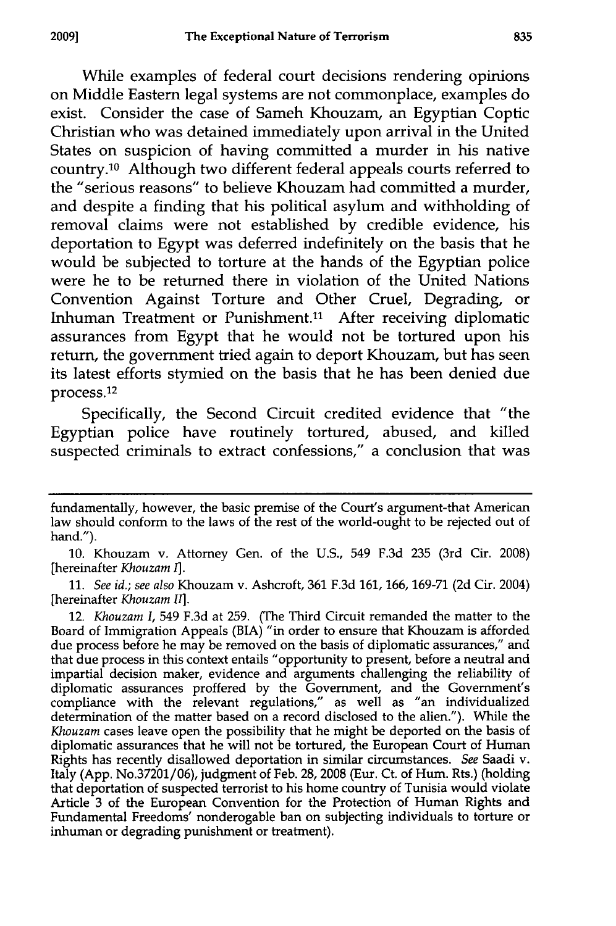While examples of federal court decisions rendering opinions on Middle Eastern legal systems are not commonplace, examples do exist. Consider the case of Sameh Khouzam, an Egyptian Coptic Christian who was detained immediately upon arrival in the United States on suspicion of having committed a murder in his native country.10 Although two different federal appeals courts referred to the "serious reasons" to believe Khouzam had committed a murder, and despite a finding that his political asylum and withholding of removal claims were not established by credible evidence, his deportation to Egypt was deferred indefinitely on the basis that he would be subjected to torture at the hands of the Egyptian police were he to be returned there in violation of the United Nations Convention Against Torture and Other Cruel, Degrading, or Inhuman Treatment or Punishment.11 After receiving diplomatic assurances from Egypt that he would not be tortured upon his return, the government tried again to deport Khouzam, but has seen its latest efforts stymied on the basis that he has been denied due process. 12

Specifically, the Second Circuit credited evidence that "the Egyptian police have routinely tortured, abused, and killed suspected criminals to extract confessions," a conclusion that was

fundamentally, however, the basic premise of the Court's argument-that American law should conform to the laws of the rest of the world-ought to be rejected out of hand.").

**<sup>10.</sup>** Khouzam v. Attorney Gen. of the U.S., 549 F.3d 235 (3rd Cir. 2008) [hereinafter *Khouzam I].*

<sup>11.</sup> *See id.; see also* Khouzam v. Ashcroft, 361 F.3d 161, 166, 169-71 (2d Cir. 2004) [hereinafter *Khouzam II].*

<sup>12.</sup> *Khouzam I,* 549 F.3d at 259. (The Third Circuit remanded the matter to the Board of Immigration Appeals (BIA) "in order to ensure that Khouzam is afforded due process before he may be removed on the basis of diplomatic assurances," and that due process in this context entails "opportunity to present, before a neutral and impartial decision maker, evidence and arguments challenging the reliability of diplomatic assurances proffered by the Government, and the Government's compliance with the relevant regulations," as well as "an individualized determination of the matter based on a record disclosed to the alien."). While the *Khouzam* cases leave open the possibility that he might be deported on the basis of diplomatic assurances that he will not be tortured, the European Court of Human Rights has recently disallowed deportation in similar circumstances. *See* Saadi v. Italy (App. No.37201/06), judgment of Feb. 28, 2008 (Eur. Ct. of Hum. Rts.) (holding that deportation of suspected terrorist to his home country of Tunisia would violate Article 3 of the European Convention for the Protection of Human Rights and Fundamental Freedoms' nonderogable ban on subjecting individuals to torture or inhuman or degrading punishment or treatment).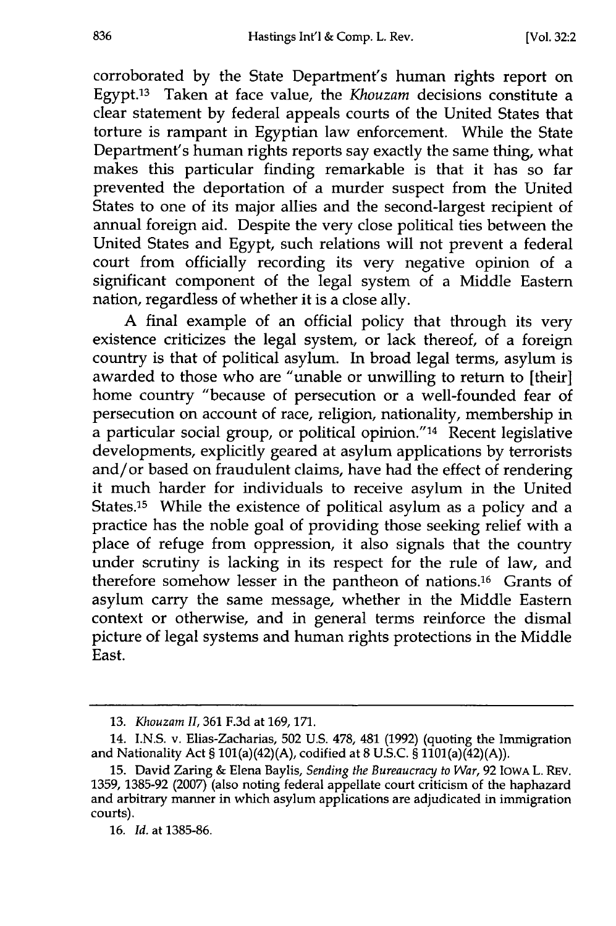corroborated by the State Department's human rights report on Egypt.<sup>13</sup> Taken at face value, the *Khouzam* decisions constitute a clear statement by federal appeals courts of the United States that torture is rampant in Egyptian law enforcement. While the State Department's human rights reports say exactly the same thing, what makes this particular finding remarkable is that it has so far prevented the deportation of a murder suspect from the United States to one of its major allies and the second-largest recipient of annual foreign aid. Despite the very close political ties between the United States and Egypt, such relations will not prevent a federal court from officially recording its very negative opinion of a significant component of the legal system of a Middle Eastern nation, regardless of whether it is a close ally.

A final example of an official policy that through its very existence criticizes the legal system, or lack thereof, of a foreign country is that of political asylum. In broad legal terms, asylum is awarded to those who are "unable or unwilling to return to [their] home country "because of persecution or a well-founded fear of persecution on account of race, religion, nationality, membership in a particular social group, or political opinion." 14 Recent legislative developments, explicitly geared at asylum applications by terrorists and/or based on fraudulent claims, have had the effect of rendering it much harder for individuals to receive asylum in the United States.15 While the existence of political asylum as a policy and a practice has the noble goal of providing those seeking relief with a place of refuge from oppression, it also signals that the country under scrutiny is lacking in its respect for the rule of law, and therefore somehow lesser in the pantheon of nations.16 Grants of asylum carry the same message, whether in the Middle Eastern context or otherwise, and in general terms reinforce the dismal picture of legal systems and human rights protections in the Middle East.

<sup>13.</sup> *Khouzam II,* 361 F.3d at 169, 171.

<sup>14.</sup> I.N.S. v. Elias-Zacharias, 502 U.S. 478, 481 (1992) (quoting the Immigration and Nationality Act § 101(a)(42)(A), codified at 8 U.S.C. § 1101(a)(42)(A)).

<sup>15.</sup> David Zaring & Elena Baylis, *Sending the Bureaucracy to War,* 92 IOWA L. REV. 1359, 1385-92 (2007) (also noting federal appellate court criticism of the haphazard and arbitrary manner in which asylum applications are adjudicated in immigration courts).

<sup>16.</sup> *Id.* at 1385-86.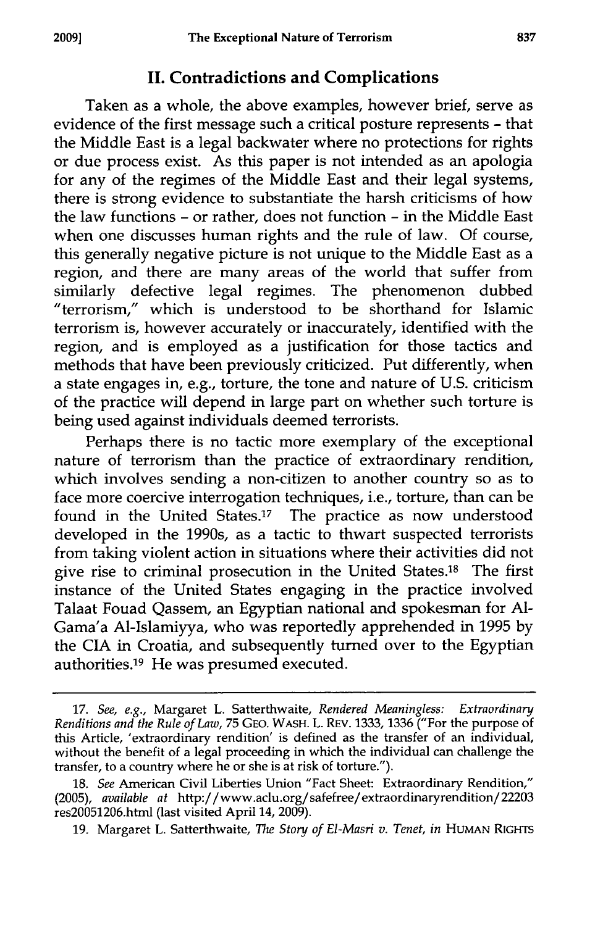### **II. Contradictions and Complications**

Taken as a whole, the above examples, however brief, serve as evidence of the first message such a critical posture represents **-** that the Middle East is a legal backwater where no protections for rights or due process exist. As this paper is not intended as an apologia for any of the regimes of the Middle East and their legal systems, there is strong evidence to substantiate the harsh criticisms of how the law functions **-** or rather, does not function **-** in the Middle East when one discusses human rights and the rule of law. **Of** course, this generally negative picture is not unique to the Middle East as a region, and there are many areas of the world that suffer from similarly defective legal regimes. The phenomenon dubbed "terrorism," which is understood to be shorthand for Islamic terrorism is, however accurately or inaccurately, identified with the region, and is employed as a justification for those tactics and methods that have been previously criticized. Put differently, when a state engages in, e.g., torture, the tone and nature of **U.S.** criticism of the practice will depend in large part on whether such torture is being used against individuals deemed terrorists.

Perhaps there is no tactic more exemplary of the exceptional nature of terrorism than the practice of extraordinary rendition, which involves sending a non-citizen to another country so as to face more coercive interrogation techniques, i.e., torture, than can be found in the United States.17 The practice as now understood developed in the 1990s, as a tactic to thwart suspected terrorists from taking violent action in situations where their activities did not give rise to criminal prosecution in the United States.<sup>18</sup> The first instance of the United States engaging in the practice involved Talaat Fouad Qassem, an Egyptian national and spokesman for **Al-**Gama'a Al-Islamiyya, who was reportedly apprehended in **1995 by** the **CIA** in Croatia, and subsequently turned over to the Egyptian authorities.19 He was presumed executed.

**<sup>17.</sup>** *See, e.g.,* Margaret L. Satterthwaite, *Rendered Meaningless: Extraordinary Renditions and the Rule of Law,* **75 GEO.** WASH. L. REV. **1333, 1336** ("For the purpose of this Article, 'extraordinary rendition' is defined as the transfer of an individual, without the benefit of a legal proceeding in which the individual can challenge the transfer, to a country where he or she is at risk of torture.").

**<sup>18.</sup>** *See* American Civil Liberties Union "Fact Sheet: Extraordinary Rendition," **(2005),** *available at* http://www.aclu.org/safefree/extraordinaryrendition/22203 res20051206.html (last visited April 14, **2009).**

**<sup>19.</sup>** Margaret L. Satterthwaite, *The Story of El-Masri v. Tenet, in* HUMAN RIGHTS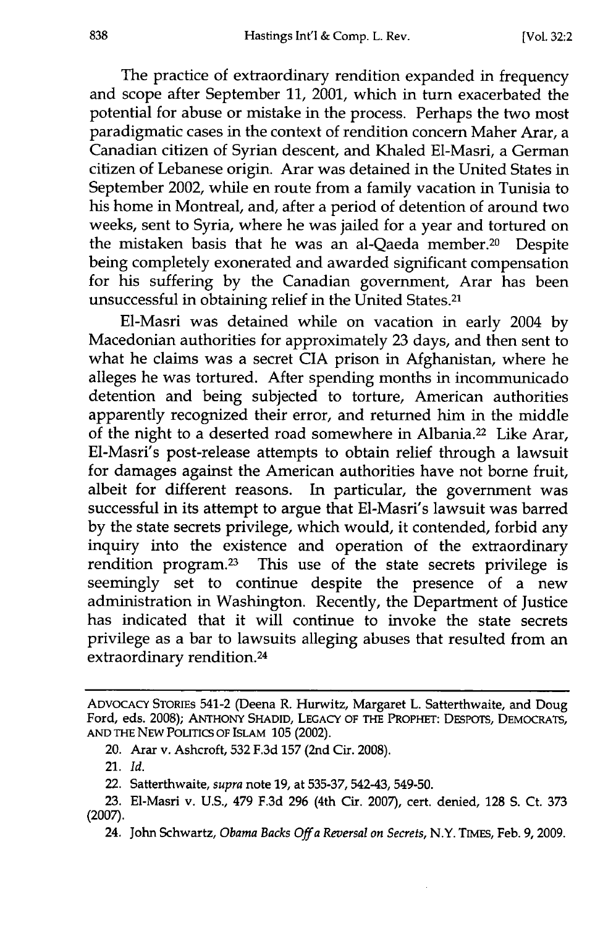The practice of extraordinary rendition expanded in frequency and scope after September 11, 2001, which in turn exacerbated the potential for abuse or mistake in the process. Perhaps the two most paradigmatic cases in the context of rendition concern Maher Arar, a Canadian citizen of Syrian descent, and Khaled El-Masri, a German citizen of Lebanese origin. Arar was detained in the United States in September 2002, while en route from a family vacation in Tunisia to his home in Montreal, and, after a period of detention of around two weeks, sent to Syria, where he was jailed for a year and tortured on the mistaken basis that he was an al-Qaeda member.<sup>20</sup> Despite being completely exonerated and awarded significant compensation for his suffering by the Canadian government, Arar has been unsuccessful in obtaining relief in the United States.<sup>21</sup>

El-Masri was detained while on vacation in early 2004 by Macedonian authorities for approximately 23 days, and then sent to what he claims was a secret CIA prison in Afghanistan, where he alleges he was tortured. After spending months in incommunicado detention and being subjected to torture, American authorities apparently recognized their error, and returned him in the middle of the night to a deserted road somewhere in Albania.22 Like Arar, El-Masri's post-release attempts to obtain relief through a lawsuit for damages against the American authorities have not borne fruit, albeit for different reasons. In particular, the government was successful in its attempt to argue that El-Masri's lawsuit was barred by the state secrets privilege, which would, it contended, forbid any inquiry into the existence and operation of the extraordinary rendition program.<sup>23</sup> This use of the state secrets privilege is seemingly set to continue despite the presence of a new administration in Washington. Recently, the Department of Justice has indicated that it will continue to invoke the state secrets privilege as a bar to lawsuits alleging abuses that resulted from an extraordinary rendition.24

- 22. Satterthwaite, *supra* note **19,** at **535-37,** 542-43, 549-50.
- **23.** E1-Masri v. **U.S.,** 479 **F.3d 296** (4th Cir. **2007),** cert. denied, **128 S.** Ct. **373** (2007).
	- 24. John Schwartz, *Obama Backs Off a Reversal on Secrets,* N.Y. TIMES, Feb. 9, 2009.

**ADVOCACY** STORIES 541-2 (Deena R. Hurwitz, Margaret L. Satterthwaite, and Doug Ford, eds. **2008); ANTHONY SHADID, LEGACY OF THE PROPHET:** DESPOTS, **DEMOCRATS, AND THE NEW POLITICS OF ISLAM 105** (2002).

<sup>20.</sup> Arar v. Ashcroft, **532 F.3d 157** (2nd Cir. **2008).**

<sup>21.</sup> *Id.*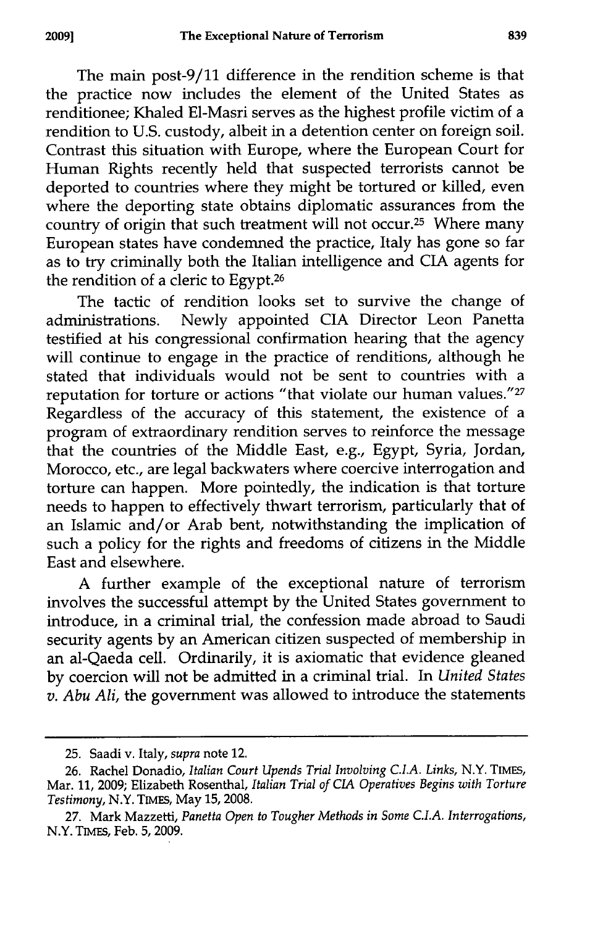The main post-9/11 difference in the rendition scheme is that the practice now includes the element of the United States as renditionee; Khaled El-Masri serves as the highest profile victim of a rendition to U.S. custody, albeit in a detention center on foreign soil. Contrast this situation with Europe, where the European Court for Human Rights recently held that suspected terrorists cannot be deported to countries where they might be tortured or killed, even where the deporting state obtains diplomatic assurances from the country of origin that such treatment will not occur.<sup>25</sup> Where many European states have condemned the practice, Italy has gone so far as to try criminally both the Italian intelligence and CIA agents for the rendition of a cleric to Egypt.<sup>26</sup>

The tactic of rendition looks set to survive the change of administrations. Newly appointed CIA Director Leon Panetta testified at his congressional confirmation hearing that the agency will continue to engage in the practice of renditions, although he stated that individuals would not be sent to countries with a reputation for torture or actions "that violate our human values."27 Regardless of the accuracy of this statement, the existence of a program of extraordinary rendition serves to reinforce the message that the countries of the Middle East, e.g., Egypt, Syria, Jordan, Morocco, etc., are legal backwaters where coercive interrogation and torture can happen. More pointedly, the indication is that torture needs to happen to effectively thwart terrorism, particularly that of an Islamic and/or Arab bent, notwithstanding the implication of such a policy for the rights and freedoms of citizens in the Middle East and elsewhere.

A further example of the exceptional nature of terrorism involves the successful attempt by the United States government to introduce, in a criminal trial, the confession made abroad to Saudi security agents by an American citizen suspected of membership in an al-Qaeda cell. Ordinarily, it is axiomatic that evidence gleaned by coercion will not be admitted in a criminal trial. In *United States v. Abu Ali,* the government was allowed to introduce the statements

**20091**

<sup>25.</sup> Saadi v. Italy, *supra* note 12.

<sup>26.</sup> Rachel Donadio, *Italian Court Upends Trial Involving C.I.A. Links,* N.Y. TIMES, Mar. 11, 2009; Elizabeth Rosenthal, *Italian Trial of CIA Operatives Begins with Torture Testimony,* N.Y. TIMES, May **15,** 2008.

<sup>27.</sup> Mark Mazzetti, *Panetta Open to Tougher Methods in Some C.I.A. Interrogations,* N.Y. TIMEs, Feb. 5, 2009.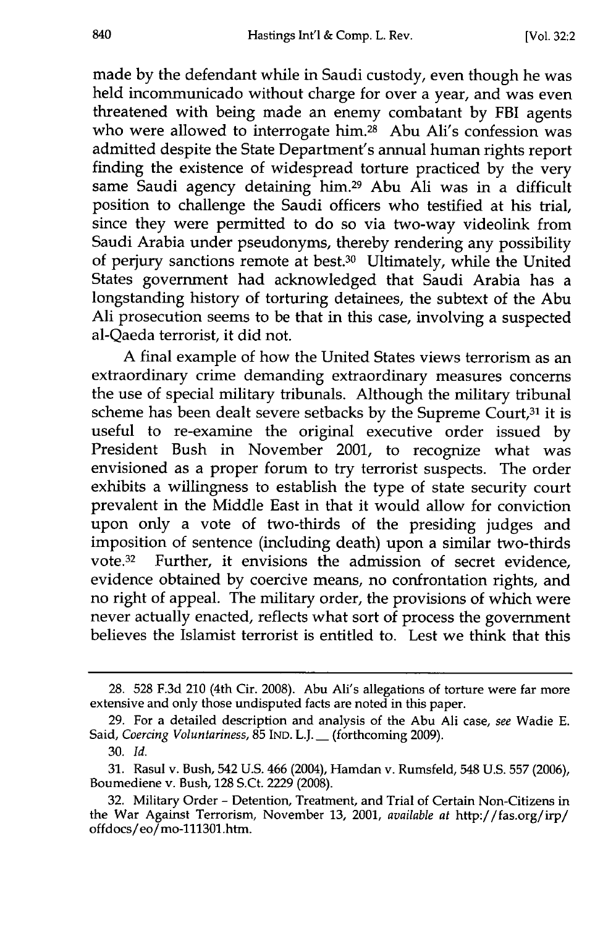made by the defendant while in Saudi custody, even though he was held incommunicado without charge for over a year, and was even threatened with being made an enemy combatant by FBI agents who were allowed to interrogate him.<sup>28</sup> Abu Ali's confession was admitted despite the State Department's annual human rights report finding the existence of widespread torture practiced by the very same Saudi agency detaining him.29 Abu Ali was in a difficult position to challenge the Saudi officers who testified at his trial, since they were permitted to do so via two-way videolink from Saudi Arabia under pseudonyms, thereby rendering any possibility of perjury sanctions remote at best.30 Ultimately, while the United States government had acknowledged that Saudi Arabia has a longstanding history of torturing detainees, the subtext of the Abu Ali prosecution seems to be that in this case, involving a suspected al-Qaeda terrorist, it did not.

A final example of how the United States views terrorism as an extraordinary crime demanding extraordinary measures concerns the use of special military tribunals. Although the military tribunal scheme has been dealt severe setbacks by the Supreme Court,<sup>31</sup> it is useful to re-examine the original executive order issued by President Bush in November 2001, to recognize what was envisioned as a proper forum to try terrorist suspects. The order exhibits a willingness to establish the type of state security court prevalent in the Middle East in that it would allow for conviction upon only a vote of two-thirds of the presiding judges and imposition of sentence (including death) upon a similar two-thirds vote.<sup>32</sup> Further, it envisions the admission of secret evidence, evidence obtained by coercive means, no confrontation rights, and no right of appeal. The military order, the provisions of which were never actually enacted, reflects what sort of process the government believes the Islamist terrorist is entitled to. Lest we think that this

<sup>28. 528</sup> F.3d 210 (4th Cir. 2008). Abu Ali's allegations of torture were far more extensive and only those undisputed facts are noted in this paper.

<sup>29.</sup> For a detailed description and analysis of the Abu Ali case, *see* Wadie E. Said, *Coercing Voluntariness*, 85 IND. L.J. \_\_ (forthcoming 2009).

<sup>30.</sup> *Id.*

<sup>31.</sup> Rasul v. Bush, 542 U.S. 466 (2004), Hamdan v. Rumsfeld, 548 U.S. 557 (2006), Boumediene v. Bush, 128 S.Ct. 2229 (2008).

<sup>32.</sup> Military Order - Detention, Treatment, and Trial of Certain Non-Citizens in the War Against Terrorism, November 13, 2001, *available at* http://fas.org/irp/ offdocs/eo/mo-111301.htm.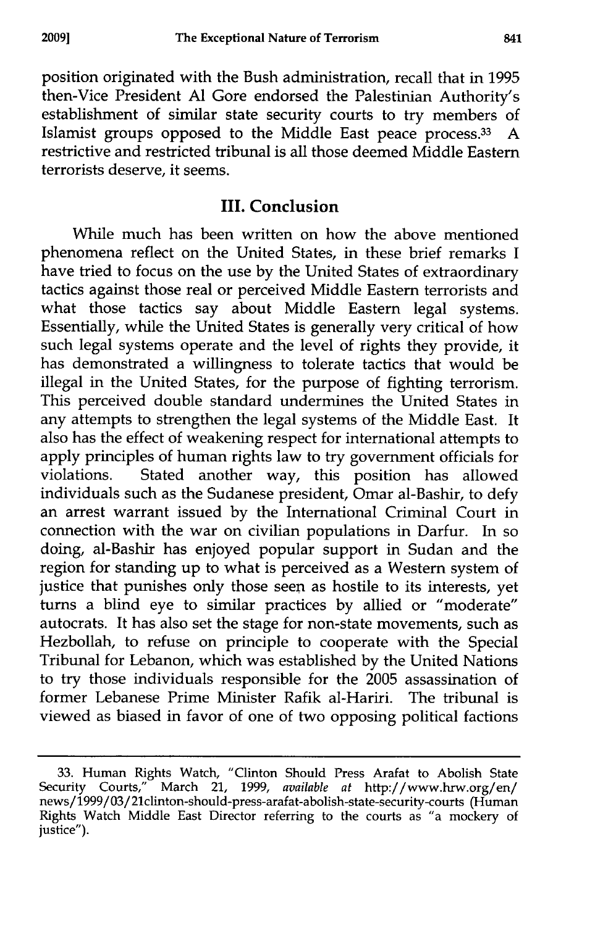position originated with the Bush administration, recall that in **1995** then-Vice President **Al** Gore endorsed the Palestinian Authority's establishment of similar state security courts to try members of Islamist groups opposed to the Middle East peace process.<sup>33</sup> A restrictive and restricted tribunal is all those deemed Middle Eastern terrorists deserve, it seems.

#### **III. Conclusion**

While much has been written on how the above mentioned phenomena reflect on the United States, in these brief remarks **I** have tried to focus on the use **by** the United States of extraordinary tactics against those real or perceived Middle Eastern terrorists and what those tactics say about Middle Eastern legal systems. Essentially, while the United States is generally very critical of how such legal systems operate and the level of rights they provide, it has demonstrated a willingness to tolerate tactics that would be illegal in the United States, for the purpose of fighting terrorism. This perceived double standard undermines the United States in any attempts to strengthen the legal systems of the Middle East. It also has the effect of weakening respect for international attempts to apply principles of human rights law to try government officials for violations. Stated another way, this position has allowed individuals such as the Sudanese president, Omar al-Bashir, to defy an arrest warrant issued **by** the International Criminal Court in connection with the war on civilian populations in Darfur. In so doing, al-Bashir has enjoyed popular support in Sudan and the region for standing up to what is perceived as a Western system of justice that punishes only those seen as hostile to its interests, yet turns a blind eye to similar practices by allied or "moderate" autocrats. It has also set the stage for non-state movements, such as Hezbollah, to refuse on principle to cooperate with the Special Tribunal for Lebanon, which was established by the United Nations to try those individuals responsible for the 2005 assassination of former Lebanese Prime Minister Rafik al-Hariri. The tribunal is viewed as biased in favor of one of two opposing political factions

<sup>33.</sup> Human Rights Watch, "Clinton Should Press Arafat to Abolish State Security Courts," March 21, 1999, *available at* http://www.hrw.org/en/ news/1999/03/21clinton-should-press-arafat-abolish-state-security-courts (Human Rights Watch Middle East Director referring to the courts as "a mockery of justice").